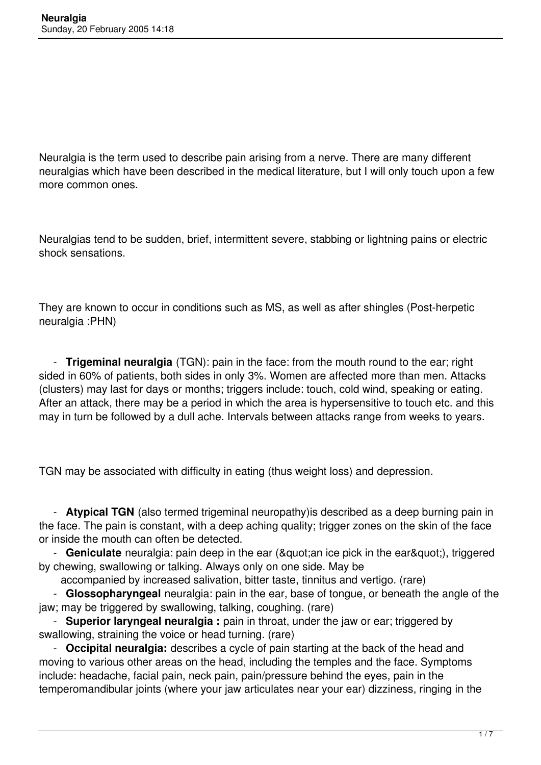Neuralgia is the term used to describe pain arising from a nerve. There are many different neuralgias which have been described in the medical literature, but I will only touch upon a few more common ones.

Neuralgias tend to be sudden, brief, intermittent severe, stabbing or lightning pains or electric shock sensations.

They are known to occur in conditions such as MS, as well as after shingles (Post-herpetic neuralgia :PHN)

 - **Trigeminal neuralgia** (TGN): pain in the face: from the mouth round to the ear; right sided in 60% of patients, both sides in only 3%. Women are affected more than men. Attacks (clusters) may last for days or months; triggers include: touch, cold wind, speaking or eating. After an attack, there may be a period in which the area is hypersensitive to touch etc. and this may in turn be followed by a dull ache. Intervals between attacks range from weeks to years.

TGN may be associated with difficulty in eating (thus weight loss) and depression.

 - **Atypical TGN** (also termed trigeminal neuropathy)is described as a deep burning pain in the face. The pain is constant, with a deep aching quality; trigger zones on the skin of the face or inside the mouth can often be detected.

- **Geniculate** neuralgia: pain deep in the ear ("an ice pick in the ear"), triggered by chewing, swallowing or talking. Always only on one side. May be

accompanied by increased salivation, bitter taste, tinnitus and vertigo. (rare)

 - **Glossopharyngeal** neuralgia: pain in the ear, base of tongue, or beneath the angle of the jaw; may be triggered by swallowing, talking, coughing. (rare)

 - **Superior laryngeal neuralgia :** pain in throat, under the jaw or ear; triggered by swallowing, straining the voice or head turning. (rare)

 - **Occipital neuralgia:** describes a cycle of pain starting at the back of the head and moving to various other areas on the head, including the temples and the face. Symptoms include: headache, facial pain, neck pain, pain/pressure behind the eyes, pain in the temperomandibular joints (where your jaw articulates near your ear) dizziness, ringing in the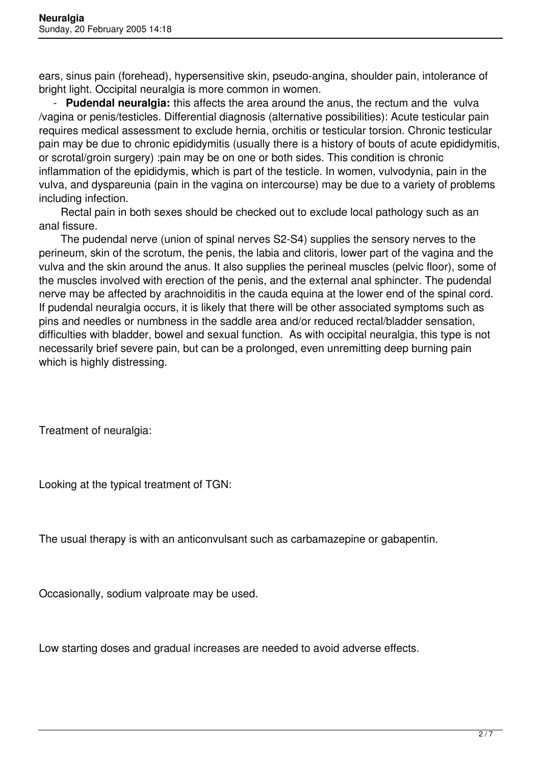ears, sinus pain (forehead), hypersensitive skin, pseudo-angina, shoulder pain, intolerance of bright light. Occipital neuralgia is more common in women.

 - **Pudendal neuralgia:** this affects the area around the anus, the rectum and the vulva /vagina or penis/testicles. Differential diagnosis (alternative possibilities): Acute testicular pain requires medical assessment to exclude hernia, orchitis or testicular torsion. Chronic testicular pain may be due to chronic epididymitis (usually there is a history of bouts of acute epididymitis, or scrotal/groin surgery) :pain may be on one or both sides. This condition is chronic inflammation of the epididymis, which is part of the testicle. In women, vulvodynia, pain in the vulva, and dyspareunia (pain in the vagina on intercourse) may be due to a variety of problems including infection.

Rectal pain in both sexes should be checked out to exclude local pathology such as an anal fissure.

The pudendal nerve (union of spinal nerves S2-S4) supplies the sensory nerves to the perineum, skin of the scrotum, the penis, the labia and clitoris, lower part of the vagina and the vulva and the skin around the anus. It also supplies the perineal muscles (pelvic floor), some of the muscles involved with erection of the penis, and the external anal sphincter. The pudendal nerve may be affected by arachnoiditis in the cauda equina at the lower end of the spinal cord. If pudendal neuralgia occurs, it is likely that there will be other associated symptoms such as pins and needles or numbness in the saddle area and/or reduced rectal/bladder sensation, difficulties with bladder, bowel and sexual function. As with occipital neuralgia, this type is not necessarily brief severe pain, but can be a prolonged, even unremitting deep burning pain which is highly distressing.

Treatment of neuralgia:

Looking at the typical treatment of TGN:

The usual therapy is with an anticonvulsant such as carbamazepine or gabapentin.

Occasionally, sodium valproate may be used.

Low starting doses and gradual increases are needed to avoid adverse effects.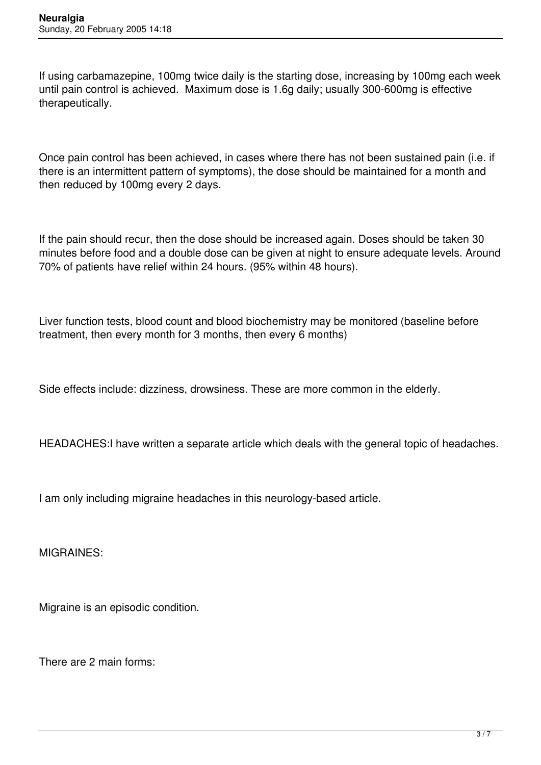If using carbamazepine, 100mg twice daily is the starting dose, increasing by 100mg each week until pain control is achieved. Maximum dose is 1.6g daily; usually 300-600mg is effective therapeutically.

Once pain control has been achieved, in cases where there has not been sustained pain (i.e. if there is an intermittent pattern of symptoms), the dose should be maintained for a month and then reduced by 100mg every 2 days.

If the pain should recur, then the dose should be increased again. Doses should be taken 30 minutes before food and a double dose can be given at night to ensure adequate levels. Around 70% of patients have relief within 24 hours. (95% within 48 hours).

Liver function tests, blood count and blood biochemistry may be monitored (baseline before treatment, then every month for 3 months, then every 6 months)

Side effects include: dizziness, drowsiness. These are more common in the elderly.

HEADACHES:I have written a separate article which deals with the general topic of headaches.

I am only including migraine headaches in this neurology-based article.

MIGRAINES:

Migraine is an episodic condition.

There are 2 main forms: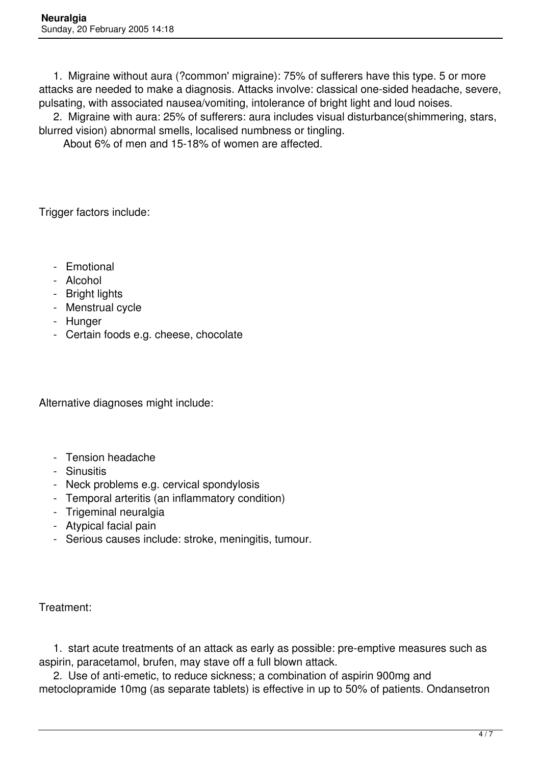1. Migraine without aura (?common' migraine): 75% of sufferers have this type. 5 or more attacks are needed to make a diagnosis. Attacks involve: classical one-sided headache, severe, pulsating, with associated nausea/vomiting, intolerance of bright light and loud noises.

 2. Migraine with aura: 25% of sufferers: aura includes visual disturbance(shimmering, stars, blurred vision) abnormal smells, localised numbness or tingling.

About 6% of men and 15-18% of women are affected.

Trigger factors include:

- Emotional
- Alcohol
- Bright lights
- Menstrual cycle
- Hunger
- Certain foods e.g. cheese, chocolate

Alternative diagnoses might include:

- Tension headache
- Sinusitis
- Neck problems e.g. cervical spondylosis
- Temporal arteritis (an inflammatory condition)
- Trigeminal neuralgia
- Atypical facial pain
- Serious causes include: stroke, meningitis, tumour.

Treatment:

 1. start acute treatments of an attack as early as possible: pre-emptive measures such as aspirin, paracetamol, brufen, may stave off a full blown attack.

 2. Use of anti-emetic, to reduce sickness; a combination of aspirin 900mg and metoclopramide 10mg (as separate tablets) is effective in up to 50% of patients. Ondansetron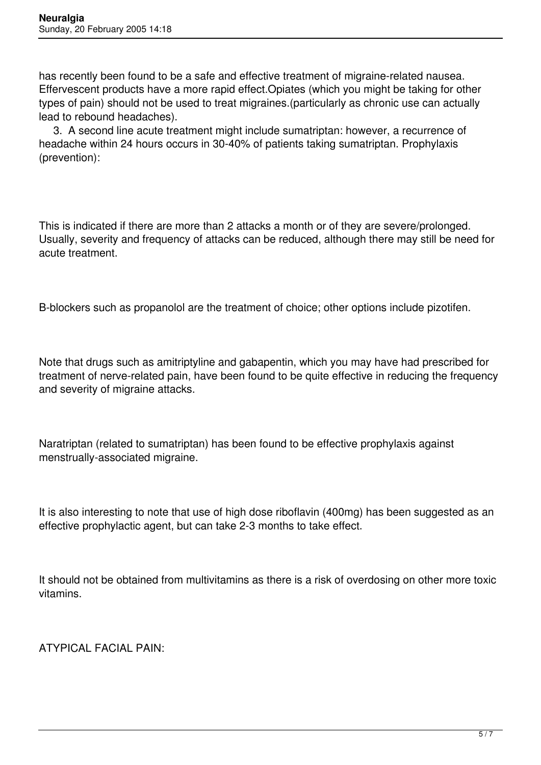has recently been found to be a safe and effective treatment of migraine-related nausea. Effervescent products have a more rapid effect.Opiates (which you might be taking for other types of pain) should not be used to treat migraines.(particularly as chronic use can actually lead to rebound headaches).

 3. A second line acute treatment might include sumatriptan: however, a recurrence of headache within 24 hours occurs in 30-40% of patients taking sumatriptan. Prophylaxis (prevention):

This is indicated if there are more than 2 attacks a month or of they are severe/prolonged. Usually, severity and frequency of attacks can be reduced, although there may still be need for acute treatment.

B-blockers such as propanolol are the treatment of choice; other options include pizotifen.

Note that drugs such as amitriptyline and gabapentin, which you may have had prescribed for treatment of nerve-related pain, have been found to be quite effective in reducing the frequency and severity of migraine attacks.

Naratriptan (related to sumatriptan) has been found to be effective prophylaxis against menstrually-associated migraine.

It is also interesting to note that use of high dose riboflavin (400mg) has been suggested as an effective prophylactic agent, but can take 2-3 months to take effect.

It should not be obtained from multivitamins as there is a risk of overdosing on other more toxic vitamins.

ATYPICAL FACIAL PAIN: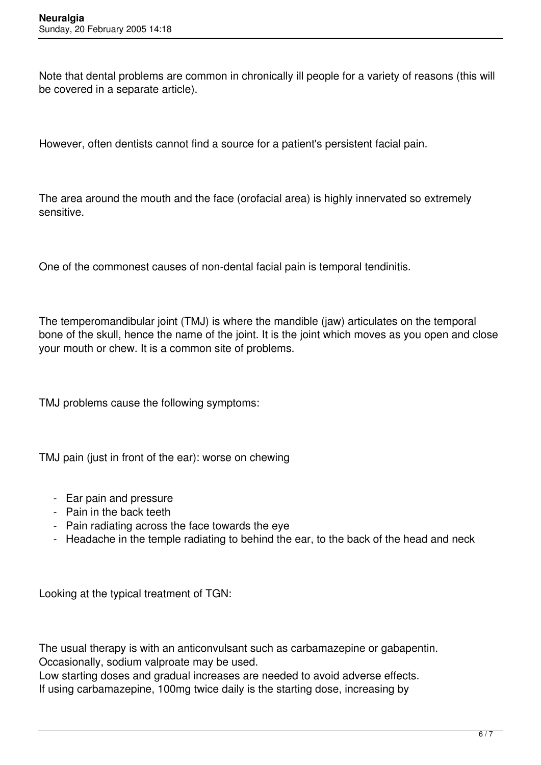Note that dental problems are common in chronically ill people for a variety of reasons (this will be covered in a separate article).

However, often dentists cannot find a source for a patient's persistent facial pain.

The area around the mouth and the face (orofacial area) is highly innervated so extremely sensitive.

One of the commonest causes of non-dental facial pain is temporal tendinitis.

The temperomandibular joint (TMJ) is where the mandible (jaw) articulates on the temporal bone of the skull, hence the name of the joint. It is the joint which moves as you open and close your mouth or chew. It is a common site of problems.

TMJ problems cause the following symptoms:

TMJ pain (just in front of the ear): worse on chewing

- Ear pain and pressure
- Pain in the back teeth
- Pain radiating across the face towards the eye
- Headache in the temple radiating to behind the ear, to the back of the head and neck

Looking at the typical treatment of TGN:

The usual therapy is with an anticonvulsant such as carbamazepine or gabapentin. Occasionally, sodium valproate may be used.

Low starting doses and gradual increases are needed to avoid adverse effects. If using carbamazepine, 100mg twice daily is the starting dose, increasing by